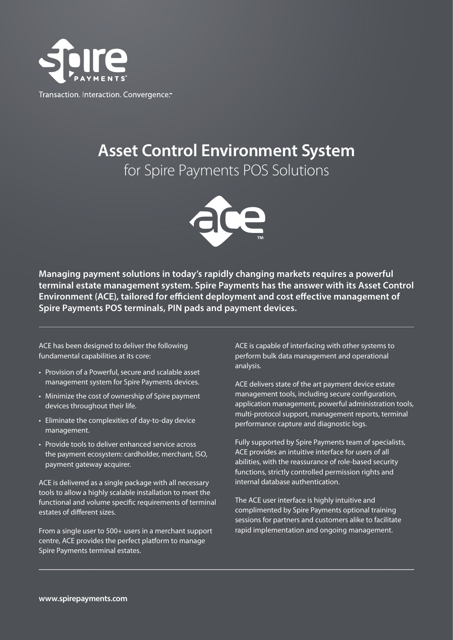

Transaction. Interaction. Convergence."

## **Asset Control Environment System**

for Spire Payments POS Solutions



**Managing payment solutions in today's rapidly changing markets requires a powerful terminal estate management system. Spire Payments has the answer with its Asset Control Environment (ACE), tailored for efficient deployment and cost effective management of Spire Payments POS terminals, PIN pads and payment devices.**

ACE has been designed to deliver the following fundamental capabilities at its core:

- Provision of a Powerful, secure and scalable asset management system for Spire Payments devices.
- Minimize the cost of ownership of Spire payment devices throughout their life.
- Eliminate the complexities of day-to-day device management.
- Provide tools to deliver enhanced service across the payment ecosystem: cardholder, merchant, ISO, payment gateway acquirer.

ACE is delivered as a single package with all necessary tools to allow a highly scalable installation to meet the functional and volume specific requirements of terminal estates of different sizes.

From a single user to 500+ users in a merchant support centre, ACE provides the perfect platform to manage Spire Payments terminal estates.

ACE is capable of interfacing with other systems to perform bulk data management and operational analysis.

ACE delivers state of the art payment device estate management tools, including secure configuration, application management, powerful administration tools, multi-protocol support, management reports, terminal performance capture and diagnostic logs.

Fully supported by Spire Payments team of specialists, ACE provides an intuitive interface for users of all abilities, with the reassurance of role-based security functions, strictly controlled permission rights and internal database authentication.

The ACE user interface is highly intuitive and complimented by Spire Payments optional training sessions for partners and customers alike to facilitate rapid implementation and ongoing management.